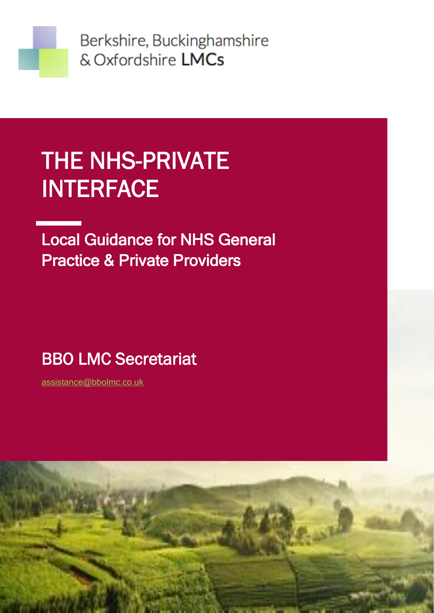

Berkshire, Buckinghamshire & Oxfordshire LMCs

# THE NHS-PRIVATE INTERFACE

Local Guidance for NHS General Practice & Private Providers

### DBO LIVIO SECRETARIA BBO LMC Secretariat

[assistance@bbolmc.co.uk](mailto:assistance@bbolmc.co.uk) BBC LMC Secretariate and the secretariate secretariate secretariate secretariate secretariate secretariate sec

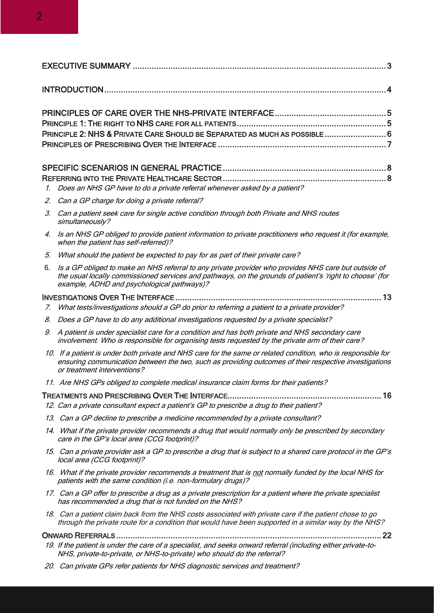| PRINCIPLE 2: NHS & PRIVATE CARE SHOULD BE SEPARATED AS MUCH AS POSSIBLE  6   |  |
|------------------------------------------------------------------------------|--|
|                                                                              |  |
|                                                                              |  |
| 1. Does an NHS GP have to do a private referral whenever asked by a patient? |  |

- 2. Can a GP charge for doing a private referral?
- 3. Can a patient seek care for single active condition through both Private and NHS routes simultaneously?
- 4. Is an NHS GP obliged to provide patient information to private practitioners who request it (for example, when the patient has self-referred)?
- 5. What should the patient be expected to pay for as part of their private care?
- 6. Is a GP obliged to make an NHS referral to any private provider who provides NHS care but outside of the usual locally commissioned services and pathways, on the grounds of patient's 'right to choose' (for example, ADHD and psychological pathways)?

#### INVESTIGATIONS OVER THE INTERFACE [....................................................................................... 13](#page-12-0)

- 7. What tests/investigations should a GP do prior to referring a patient to a private provider?
- 8. Does a GP have to do any additional investigations requested by a private specialist?
- 9. A patient is under specialist care for a condition and has both private and NHS secondary care involvement. Who is responsible for organising tests requested by the private arm of their care?
- 10. If a patient is under both private and NHS care for the same or related condition, who is responsible for ensuring communication between the two, such as providing outcomes of their respective investigations or treatment interventions?
- 11. Are NHS GPs obliged to complete medical insurance claim forms for their patients?

TREATMENTS AND PRESCRIBING OVER THE INTERFACE[................................................................. 16](#page-15-0)  12. Can a private consultant expect a patient's GP to prescribe a drug to their patient?

- 13. Can a GP decline to prescribe a medicine recommended by a private consultant?
- 14. What if the private provider recommends a drug that would normally only be prescribed by secondary care in the GP's local area (CCG footprint)?
- 15. Can a private provider ask a GP to prescribe a drug that is subject to a shared care protocol in the GP's local area (CCG footprint)?
- 16. What if the private provider recommends a treatment that is not normally funded by the local NHS for patients with the same condition (i.e. non-formulary drugs)?
- 17. Can a GP offer to prescribe a drug as a private prescription for a patient where the private specialist has recommended a drug that is not funded on the NHS?
- 18. Can a patient claim back from the NHS costs associated with private care if the patient chose to go through the private route for a condition that would have been supported in a similar way by the NHS?

ONWARD REFERRALS [................................................................................................................ 22](#page-21-0) 

- 19. If the patient is under the care of a specialist, and seeks onward referral (including either private-to-NHS, private-to-private, or NHS-to-private) who should do the referral?
- 20. Can private GPs refer patients for NHS diagnostic services and treatment?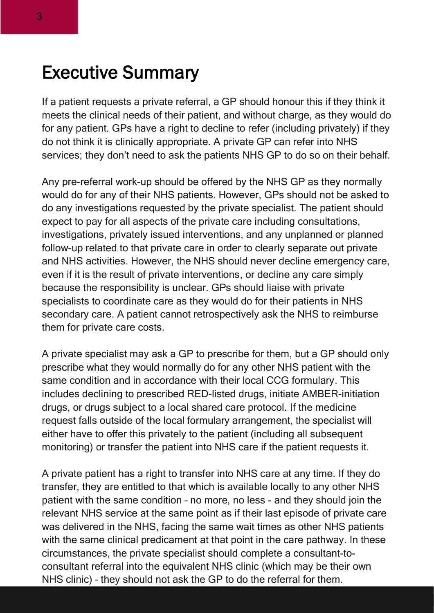### <span id="page-2-0"></span>Executive Summary

If a patient requests a private referral, a GP should honour this if they think it meets the clinical needs of their patient, and without charge, as they would do for any patient. GPs have a right to decline to refer (including privately) if they do not think it is clinically appropriate. A private GP can refer into NHS services; they don't need to ask the patients NHS GP to do so on their behalf.

Any pre-referral work-up should be offered by the NHS GP as they normally would do for any of their NHS patients. However, GPs should not be asked to do any investigations requested by the private specialist. The patient should expect to pay for all aspects of the private care including consultations, investigations, privately issued interventions, and any unplanned or planned follow-up related to that private care in order to clearly separate out private and NHS activities. However, the NHS should never decline emergency care, even if it is the result of private interventions, or decline any care simply because the responsibility is unclear. GPs should liaise with private specialists to coordinate care as they would do for their patients in NHS secondary care. A patient cannot retrospectively ask the NHS to reimburse them for private care costs.

A private specialist may ask a GP to prescribe for them, but a GP should only prescribe what they would normally do for any other NHS patient with the same condition and in accordance with their local CCG formulary. This includes declining to prescribed RED-listed drugs, initiate AMBER-initiation drugs, or drugs subject to a local shared care protocol. If the medicine request falls outside of the local formulary arrangement, the specialist will either have to offer this privately to the patient (including all subsequent monitoring) or transfer the patient into NHS care if the patient requests it.

A private patient has a right to transfer into NHS care at any time. If they do transfer, they are entitled to that which is available locally to any other NHS patient with the same condition – no more, no less - and they should join the relevant NHS service at the same point as if their last episode of private care was delivered in the NHS, facing the same wait times as other NHS patients with the same clinical predicament at that point in the care pathway. In these circumstances, the private specialist should complete a consultant-toconsultant referral into the equivalent NHS clinic (which may be their own NHS clinic) – they should not ask the GP to do the referral for them.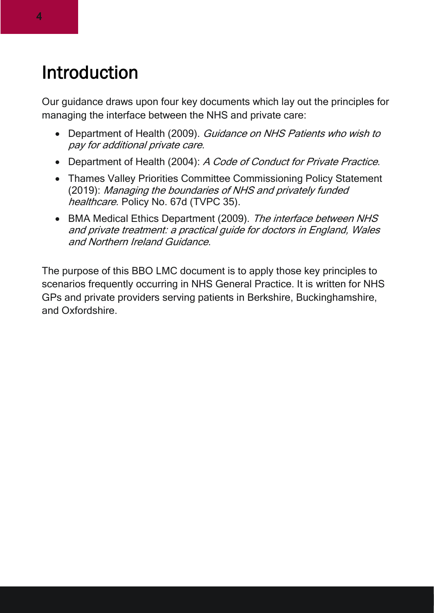### <span id="page-3-0"></span>Introduction

Our guidance draws upon four key documents which lay out the principles for managing the interface between the NHS and private care:

- Department of Health (2009). Guidance on NHS Patients who wish to pay for additional private care.
- Department of Health (2004): A Code of Conduct for Private Practice.
- Thames Valley Priorities Committee Commissioning Policy Statement (2019): Managing the boundaries of NHS and privately funded healthcare. Policy No. 67d (TVPC 35).
- BMA Medical Ethics Department (2009). The interface between NHS and private treatment: a practical guide for doctors in England, Wales and Northern Ireland Guidance.

The purpose of this BBO LMC document is to apply those key principles to scenarios frequently occurring in NHS General Practice. It is written for NHS GPs and private providers serving patients in Berkshire, Buckinghamshire, and Oxfordshire.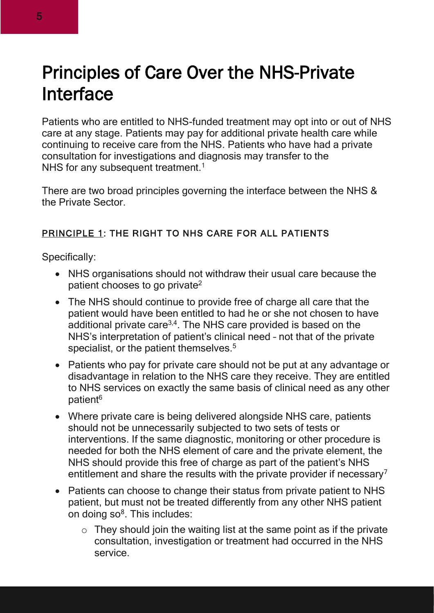## <span id="page-4-0"></span>Principles of Care Over the NHS-Private **Interface**

Patients who are entitled to NHS-funded treatment may opt into or out of NHS care at any stage. Patients may pay for additional private health care while continuing to receive care from the NHS. Patients who have had a private consultation for investigations and diagnosis may transfer to the NHS for any subsequent treatment.<sup>1</sup>

There are two broad principles governing the interface between the NHS & the Private Sector.

#### <span id="page-4-1"></span>PRINCIPLE 1: THE RIGHT TO NHS CARE FOR ALL PATIENTS

Specifically:

- NHS organisations should not withdraw their usual care because the patient chooses to go private<sup>2</sup>
- The NHS should continue to provide free of charge all care that the patient would have been entitled to had he or she not chosen to have additional private care<sup>3,4</sup>. The NHS care provided is based on the NHS's interpretation of patient's clinical need – not that of the private specialist, or the patient themselves.<sup>5</sup>
- Patients who pay for private care should not be put at any advantage or disadvantage in relation to the NHS care they receive. They are entitled to NHS services on exactly the same basis of clinical need as any other patient<sup>6</sup>
- Where private care is being delivered alongside NHS care, patients should not be unnecessarily subjected to two sets of tests or interventions. If the same diagnostic, monitoring or other procedure is needed for both the NHS element of care and the private element, the NHS should provide this free of charge as part of the patient's NHS entitlement and share the results with the private provider if necessary<sup>7</sup>
- Patients can choose to change their status from private patient to NHS patient, but must not be treated differently from any other NHS patient on doing so<sup>8</sup>. This includes:
	- $\circ$  They should join the waiting list at the same point as if the private consultation, investigation or treatment had occurred in the NHS service.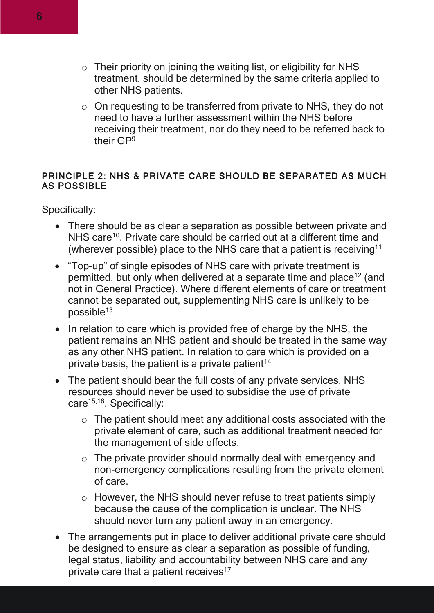- $\circ$  Their priority on joining the waiting list, or eligibility for NHS treatment, should be determined by the same criteria applied to other NHS patients.
- o On requesting to be transferred from private to NHS, they do not need to have a further assessment within the NHS before receiving their treatment, nor do they need to be referred back to their GP<sup>9</sup>

#### <span id="page-5-0"></span>PRINCIPLE 2: NHS & PRIVATE CARE SHOULD BE SEPARATED AS MUCH AS POSSIBLE

Specifically:

- There should be as clear a separation as possible between private and NHS care<sup>10</sup>. Private care should be carried out at a different time and (wherever possible) place to the NHS care that a patient is receiving<sup>11</sup>
- "Top-up" of single episodes of NHS care with private treatment is permitted, but only when delivered at a separate time and place<sup>12</sup> (and not in General Practice). Where different elements of care or treatment cannot be separated out, supplementing NHS care is unlikely to be  $possible<sup>13</sup>$
- In relation to care which is provided free of charge by the NHS, the patient remains an NHS patient and should be treated in the same way as any other NHS patient. In relation to care which is provided on a private basis, the patient is a private patient<sup>14</sup>
- The patient should bear the full costs of any private services. NHS resources should never be used to subsidise the use of private care<sup>15,16</sup>. Specifically:
	- o The patient should meet any additional costs associated with the private element of care, such as additional treatment needed for the management of side effects.
	- $\circ$  The private provider should normally deal with emergency and non-emergency complications resulting from the private element of care.
	- o However, the NHS should never refuse to treat patients simply because the cause of the complication is unclear. The NHS should never turn any patient away in an emergency.
- The arrangements put in place to deliver additional private care should be designed to ensure as clear a separation as possible of funding, legal status, liability and accountability between NHS care and any private care that a patient receives $17$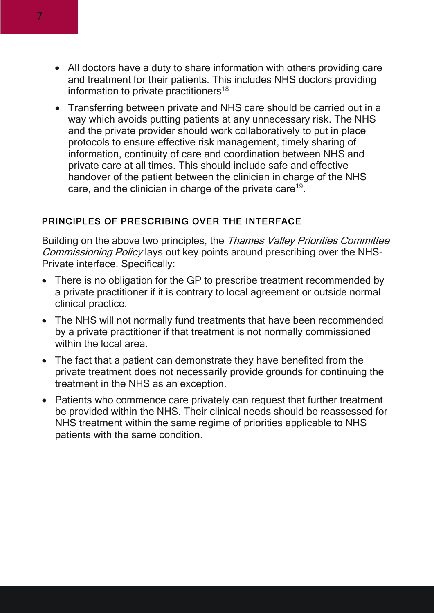- All doctors have a duty to share information with others providing care and treatment for their patients. This includes NHS doctors providing information to private practitioners<sup>18</sup>
- Transferring between private and NHS care should be carried out in a way which avoids putting patients at any unnecessary risk. The NHS and the private provider should work collaboratively to put in place protocols to ensure effective risk management, timely sharing of information, continuity of care and coordination between NHS and private care at all times. This should include safe and effective handover of the patient between the clinician in charge of the NHS care, and the clinician in charge of the private care<sup>19</sup>.

#### <span id="page-6-0"></span>PRINCIPLES OF PRESCRIBING OVER THE INTERFACE

Building on the above two principles, the Thames Valley Priorities Committee Commissioning Policy lays out key points around prescribing over the NHS-Private interface. Specifically:

- There is no obligation for the GP to prescribe treatment recommended by a private practitioner if it is contrary to local agreement or outside normal clinical practice.
- The NHS will not normally fund treatments that have been recommended by a private practitioner if that treatment is not normally commissioned within the local area.
- The fact that a patient can demonstrate they have benefited from the private treatment does not necessarily provide grounds for continuing the treatment in the NHS as an exception.
- Patients who commence care privately can request that further treatment be provided within the NHS. Their clinical needs should be reassessed for NHS treatment within the same regime of priorities applicable to NHS patients with the same condition.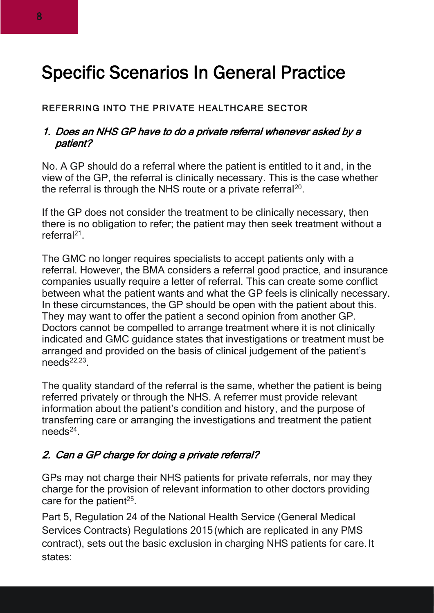### <span id="page-7-0"></span>Specific Scenarios In General Practice

#### <span id="page-7-1"></span>REFERRING INTO THE PRIVATE HEALTHCARE SECTOR

#### 1. Does an NHS GP have to do a private referral whenever asked by a patient?

No. A GP should do a referral where the patient is entitled to it and, in the view of the GP, the referral is clinically necessary. This is the case whether the referral is through the NHS route or a private referral<sup>20</sup>.

If the GP does not consider the treatment to be clinically necessary, then there is no obligation to refer; the patient may then seek treatment without a referral<sup>21</sup>.

The GMC no longer requires specialists to accept patients only with a referral. However, the BMA considers a referral good practice, and insurance companies usually require a letter of referral. This can create some conflict between what the patient wants and what the GP feels is clinically necessary. In these circumstances, the GP should be open with the patient about this. They may want to offer the patient a second opinion from another GP. Doctors cannot be compelled to arrange treatment where it is not clinically indicated and GMC guidance states that investigations or treatment must be arranged and provided on the basis of clinical judgement of the patient's  $needs<sup>22,23</sup>$ .

The quality standard of the referral is the same, whether the patient is being referred privately or through the NHS. A referrer must provide relevant information about the patient's condition and history, and the purpose of transferring care or arranging the investigations and treatment the patient needs<sup>24</sup>.

#### 2. Can a GP charge for doing a private referral?

GPs may not charge their NHS patients for private referrals, nor may they charge for the provision of relevant information to other doctors providing care for the patient $25$ .

Part 5, Regulation 24 of the National Health Service (General Medical Services Contracts) Regulations 2015 (which are replicated in any PMS contract), sets out the basic exclusion in charging NHS patients for care. It states: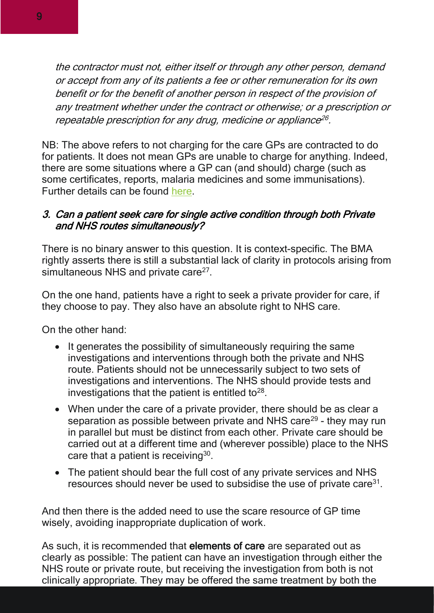the contractor must not, either itself or through any other person, demand or accept from any of its patients a fee or other remuneration for its own benefit or for the benefit of another person in respect of the provision of any treatment whether under the contract or otherwise; or a prescription or repeatable prescription for any drug, medicine or appliance 26 .

NB: The above refers to not charging for the care GPs are contracted to do for patients. It does not mean GPs are unable to charge for anything. Indeed, there are some situations where a GP can (and should) charge (such as some certificates, reports, malaria medicines and some immunisations). Further details can be found [here.](https://www.bma.org.uk/pay-and-contracts/fees)

#### 3. Can a patient seek care for single active condition through both Private and NHS routes simultaneously?

There is no binary answer to this question. It is context-specific. The BMA rightly asserts there is still a substantial lack of clarity in protocols arising from simultaneous NHS and private care<sup>27</sup>.

On the one hand, patients have a right to seek a private provider for care, if they choose to pay. They also have an absolute right to NHS care.

On the other hand:

- It generates the possibility of simultaneously requiring the same investigations and interventions through both the private and NHS route. Patients should not be unnecessarily subject to two sets of investigations and interventions. The NHS should provide tests and investigations that the patient is entitled to $28$ .
- When under the care of a private provider, there should be as clear a separation as possible between private and NHS care<sup>29</sup> - they may run in parallel but must be distinct from each other. Private care should be carried out at a different time and (wherever possible) place to the NHS care that a patient is receiving $30$ .
- The patient should bear the full cost of any private services and NHS resources should never be used to subsidise the use of private care $31$ .

And then there is the added need to use the scare resource of GP time wisely, avoiding inappropriate duplication of work.

As such, it is recommended that elements of care are separated out as clearly as possible: The patient can have an investigation through either the NHS route or private route, but receiving the investigation from both is not clinically appropriate. They may be offered the same treatment by both the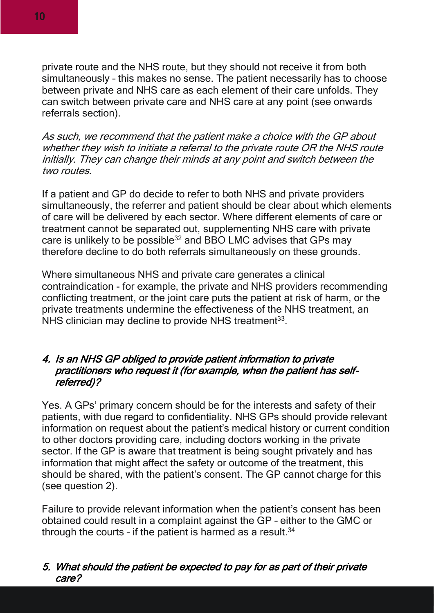private route and the NHS route, but they should not receive it from both simultaneously – this makes no sense. The patient necessarily has to choose between private and NHS care as each element of their care unfolds. They can switch between private care and NHS care at any point (see onwards referrals section).

As such, we recommend that the patient make a choice with the GP about whether they wish to initiate a referral to the private route OR the NHS route initially. They can change their minds at any point and switch between the two routes.

If a patient and GP do decide to refer to both NHS and private providers simultaneously, the referrer and patient should be clear about which elements of care will be delivered by each sector. Where different elements of care or treatment cannot be separated out, supplementing NHS care with private care is unlikely to be possible<sup>32</sup> and BBO LMC advises that GPs may therefore decline to do both referrals simultaneously on these grounds.

Where simultaneous NHS and private care generates a clinical contraindication - for example, the private and NHS providers recommending conflicting treatment, or the joint care puts the patient at risk of harm, or the private treatments undermine the effectiveness of the NHS treatment, an NHS clinician may decline to provide NHS treatment<sup>33</sup>.

#### 4. Is an NHS GP obliged to provide patient information to private practitioners who request it (for example, when the patient has selfreferred)?

Yes. A GPs' primary concern should be for the interests and safety of their patients, with due regard to confidentiality. NHS GPs should provide relevant information on request about the patient's medical history or current condition to other doctors providing care, including doctors working in the private sector. If the GP is aware that treatment is being sought privately and has information that might affect the safety or outcome of the treatment, this should be shared, with the patient's consent. The GP cannot charge for this (see question 2).

Failure to provide relevant information when the patient's consent has been obtained could result in a complaint against the GP – either to the GMC or through the courts - if the patient is harmed as a result. $34$ 

#### 5. What should the patient be expected to pay for as part of their private care?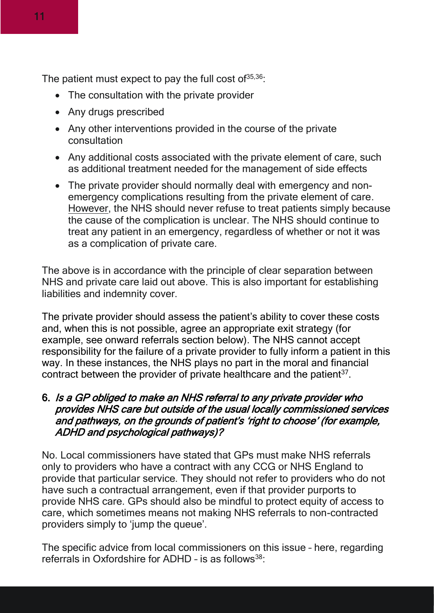The patient must expect to pay the full cost of  $35,36$ :

- The consultation with the private provider
- Any drugs prescribed
- Any other interventions provided in the course of the private consultation
- Any additional costs associated with the private element of care, such as additional treatment needed for the management of side effects
- The private provider should normally deal with emergency and nonemergency complications resulting from the private element of care. However, the NHS should never refuse to treat patients simply because the cause of the complication is unclear. The NHS should continue to treat any patient in an emergency, regardless of whether or not it was as a complication of private care.

The above is in accordance with the principle of clear separation between NHS and private care laid out above. This is also important for establishing liabilities and indemnity cover.

The private provider should assess the patient's ability to cover these costs and, when this is not possible, agree an appropriate exit strategy (for example, see onward referrals section below). The NHS cannot accept responsibility for the failure of a private provider to fully inform a patient in this way. In these instances, the NHS plays no part in the moral and financial contract between the provider of private healthcare and the patient $37$ .

#### 6. Is a GP obliged to make an NHS referral to any private provider who provides NHS care but outside of the usual locally commissioned services and pathways, on the grounds of patient's 'right to choose' (for example, ADHD and psychological pathways)?

No. Local commissioners have stated that GPs must make NHS referrals only to providers who have a contract with any CCG or NHS England to provide that particular service. They should not refer to providers who do not have such a contractual arrangement, even if that provider purports to provide NHS care. GPs should also be mindful to protect equity of access to care, which sometimes means not making NHS referrals to non-contracted providers simply to 'jump the queue'.

The specific advice from local commissioners on this issue – here, regarding referrals in Oxfordshire for ADHD - is as follows<sup>38</sup>: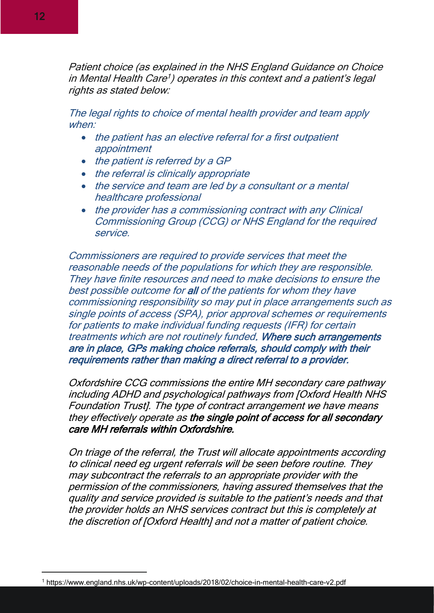Patient choice (as explained in the NHS England Guidance on Choice in Mental Health Care 1 ) operates in this context and a patient's legal rights as stated below:

The legal rights to choice of mental health provider and team apply when:

- the patient has an elective referral for a first outpatient appointment
- the patient is referred by a GP
- the referral is clinically appropriate
- the service and team are led by a consultant or a mental healthcare professional
- the provider has a commissioning contract with any Clinical Commissioning Group (CCG) or NHS England for the required service.

Commissioners are required to provide services that meet the reasonable needs of the populations for which they are responsible. They have finite resources and need to make decisions to ensure the best possible outcome for all of the patients for whom they have commissioning responsibility so may put in place arrangements such as single points of access (SPA), prior approval schemes or requirements for patients to make individual funding requests (IFR) for certain treatments which are not routinely funded. Where such arrangements are in place, GPs making choice referrals, should comply with their requirements rather than making a direct referral to a provider.

Oxfordshire CCG commissions the entire MH secondary care pathway including ADHD and psychological pathways from [Oxford Health NHS Foundation Trust]. The type of contract arrangement we have means they effectively operate as the single point of access for all secondary care MH referrals within Oxfordshire.

On triage of the referral, the Trust will allocate appointments according to clinical need eg urgent referrals will be seen before routine. They may subcontract the referrals to an appropriate provider with the permission of the commissioners, having assured themselves that the quality and service provided is suitable to the patient's needs and that the provider holds an NHS services contract but this is completely at the discretion of [Oxford Health] and not a matter of patient choice.

<sup>1</sup> https://www.england.nhs.uk/wp-content/uploads/2018/02/choice-in-mental-health-care-v2.pdf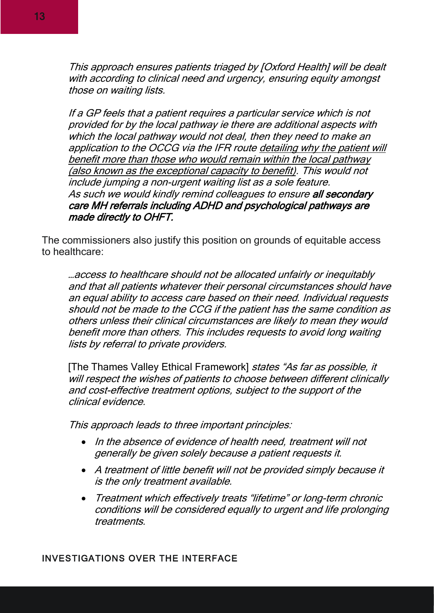This approach ensures patients triaged by [Oxford Health] will be dealt with according to clinical need and urgency, ensuring equity amongst those on waiting lists.

If a GP feels that a patient requires a particular service which is not provided for by the local pathway ie there are additional aspects with which the local pathway would not deal, then they need to make an application to the OCCG via the IFR route detailing why the patient will benefit more than those who would remain within the local pathway (also known as the exceptional capacity to benefit). This would not include jumping a non-urgent waiting list as a sole feature. As such we would kindly remind colleagues to ensure all secondary care MH referrals including ADHD and psychological pathways are made directly to OHFT.

The commissioners also justify this position on grounds of equitable access to healthcare:

…access to healthcare should not be allocated unfairly or inequitably and that all patients whatever their personal circumstances should have an equal ability to access care based on their need. Individual requests should not be made to the CCG if the patient has the same condition as others unless their clinical circumstances are likely to mean they would benefit more than others. This includes requests to avoid long waiting lists by referral to private providers.

[The Thames Valley Ethical Framework] states "As far as possible, it will respect the wishes of patients to choose between different clinically and cost-effective treatment options, subject to the support of the clinical evidence.

This approach leads to three important principles:

- In the absence of evidence of health need, treatment will not generally be given solely because a patient requests it.
- A treatment of little benefit will not be provided simply because it is the only treatment available.
- <span id="page-12-0"></span>• Treatment which effectively treats "lifetime" or long-term chronic conditions will be considered equally to urgent and life prolonging treatments.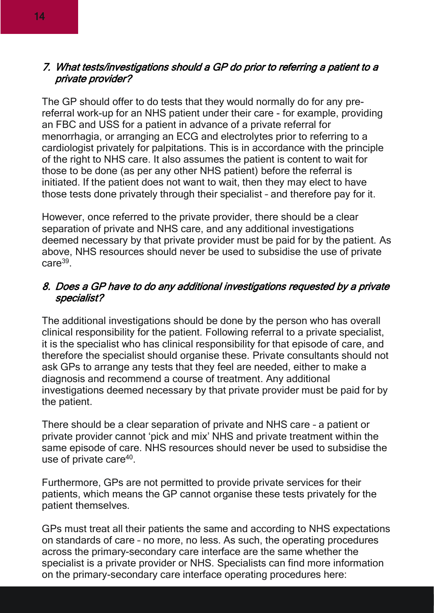#### 7. What tests/investigations should a GP do prior to referring a patient to a private provider?

The GP should offer to do tests that they would normally do for any prereferral work-up for an NHS patient under their care - for example, providing an FBC and USS for a patient in advance of a private referral for menorrhagia, or arranging an ECG and electrolytes prior to referring to a cardiologist privately for palpitations. This is in accordance with the principle of the right to NHS care. It also assumes the patient is content to wait for those to be done (as per any other NHS patient) before the referral is initiated. If the patient does not want to wait, then they may elect to have those tests done privately through their specialist – and therefore pay for it.

However, once referred to the private provider, there should be a clear separation of private and NHS care, and any additional investigations deemed necessary by that private provider must be paid for by the patient. As above, NHS resources should never be used to subsidise the use of private care<sup>39</sup>.

#### 8. Does a GP have to do any additional investigations requested by a private specialist?

The additional investigations should be done by the person who has overall clinical responsibility for the patient. Following referral to a private specialist, it is the specialist who has clinical responsibility for that episode of care, and therefore the specialist should organise these. Private consultants should not ask GPs to arrange any tests that they feel are needed, either to make a diagnosis and recommend a course of treatment. Any additional investigations deemed necessary by that private provider must be paid for by the patient.

There should be a clear separation of private and NHS care – a patient or private provider cannot 'pick and mix' NHS and private treatment within the same episode of care. NHS resources should never be used to subsidise the use of private care<sup>40</sup>.

Furthermore, GPs are not permitted to provide private services for their patients, which means the GP cannot organise these tests privately for the patient themselves.

GPs must treat all their patients the same and according to NHS expectations on standards of care – no more, no less. As such, the operating procedures across the primary-secondary care interface are the same whether the specialist is a private provider or NHS. Specialists can find more information on the primary-secondary care interface operating procedures here: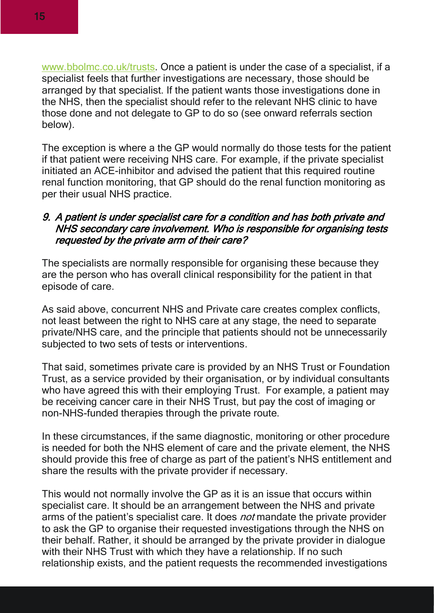[www.bbolmc.co.uk/trusts.](http://www.bbolmc.co.uk/trusts) Once a patient is under the case of a specialist, if a specialist feels that further investigations are necessary, those should be arranged by that specialist. If the patient wants those investigations done in the NHS, then the specialist should refer to the relevant NHS clinic to have those done and not delegate to GP to do so (see onward referrals section below).

The exception is where a the GP would normally do those tests for the patient if that patient were receiving NHS care. For example, if the private specialist initiated an ACE-inhibitor and advised the patient that this required routine renal function monitoring, that GP should do the renal function monitoring as per their usual NHS practice.

#### 9. A patient is under specialist care for a condition and has both private and NHS secondary care involvement. Who is responsible for organising tests requested by the private arm of their care?

The specialists are normally responsible for organising these because they are the person who has overall clinical responsibility for the patient in that episode of care.

As said above, concurrent NHS and Private care creates complex conflicts, not least between the right to NHS care at any stage, the need to separate private/NHS care, and the principle that patients should not be unnecessarily subjected to two sets of tests or interventions.

That said, sometimes private care is provided by an NHS Trust or Foundation Trust, as a service provided by their organisation, or by individual consultants who have agreed this with their employing Trust. For example, a patient may be receiving cancer care in their NHS Trust, but pay the cost of imaging or non-NHS-funded therapies through the private route.

In these circumstances, if the same diagnostic, monitoring or other procedure is needed for both the NHS element of care and the private element, the NHS should provide this free of charge as part of the patient's NHS entitlement and share the results with the private provider if necessary.

This would not normally involve the GP as it is an issue that occurs within specialist care. It should be an arrangement between the NHS and private arms of the patient's specialist care. It does *not* mandate the private provider to ask the GP to organise their requested investigations through the NHS on their behalf. Rather, it should be arranged by the private provider in dialogue with their NHS Trust with which they have a relationship. If no such relationship exists, and the patient requests the recommended investigations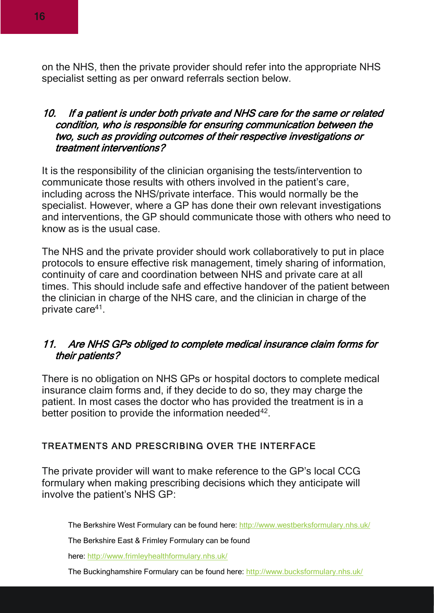on the NHS, then the private provider should refer into the appropriate NHS specialist setting as per onward referrals section below.

#### 10. If a patient is under both private and NHS care for the same or related condition, who is responsible for ensuring communication between the two, such as providing outcomes of their respective investigations or treatment interventions?

It is the responsibility of the clinician organising the tests/intervention to communicate those results with others involved in the patient's care, including across the NHS/private interface. This would normally be the specialist. However, where a GP has done their own relevant investigations and interventions, the GP should communicate those with others who need to know as is the usual case.

The NHS and the private provider should work collaboratively to put in place protocols to ensure effective risk management, timely sharing of information, continuity of care and coordination between NHS and private care at all times. This should include safe and effective handover of the patient between the clinician in charge of the NHS care, and the clinician in charge of the private care<sup>41</sup>.

#### 11. Are NHS GPs obliged to complete medical insurance claim forms for their patients?

There is no obligation on NHS GPs or hospital doctors to complete medical insurance claim forms and, if they decide to do so, they may charge the patient. In most cases the doctor who has provided the treatment is in a better position to provide the information needed $42$ .

#### <span id="page-15-0"></span>TREATMENTS AND PRESCRIBING OVER THE INTERFACE

The private provider will want to make reference to the GP's local CCG formulary when making prescribing decisions which they anticipate will involve the patient's NHS GP:

The Berkshire West Formulary can be found here: <http://www.westberksformulary.nhs.uk/>

The Berkshire East & Frimley Formulary can be found

here: <http://www.frimleyhealthformulary.nhs.uk/>

The Buckinghamshire Formulary can be found here: <http://www.bucksformulary.nhs.uk/>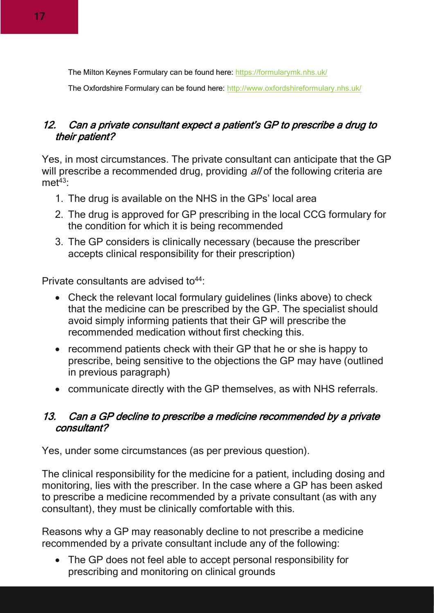The Milton Keynes Formulary can be found here: <https://formularymk.nhs.uk/>

The Oxfordshire Formulary can be found here: <http://www.oxfordshireformulary.nhs.uk/>

#### 12. Can a private consultant expect a patient's GP to prescribe a drug to their patient?

Yes, in most circumstances. The private consultant can anticipate that the GP will prescribe a recommended drug, providing all of the following criteria are  $m e^{43}$ 

- 1. The drug is available on the NHS in the GPs' local area
- 2. The drug is approved for GP prescribing in the local CCG formulary for the condition for which it is being recommended
- 3. The GP considers is clinically necessary (because the prescriber accepts clinical responsibility for their prescription)

Private consultants are advised to  $44$ :

- Check the relevant local formulary guidelines (links above) to check that the medicine can be prescribed by the GP. The specialist should avoid simply informing patients that their GP will prescribe the recommended medication without first checking this.
- recommend patients check with their GP that he or she is happy to prescribe, being sensitive to the objections the GP may have (outlined in previous paragraph)
- communicate directly with the GP themselves, as with NHS referrals.

#### 13. Can a GP decline to prescribe a medicine recommended by a private consultant?

Yes, under some circumstances (as per previous question).

The clinical responsibility for the medicine for a patient, including dosing and monitoring, lies with the prescriber. In the case where a GP has been asked to prescribe a medicine recommended by a private consultant (as with any consultant), they must be clinically comfortable with this.

Reasons why a GP may reasonably decline to not prescribe a medicine recommended by a private consultant include any of the following:

• The GP does not feel able to accept personal responsibility for prescribing and monitoring on clinical grounds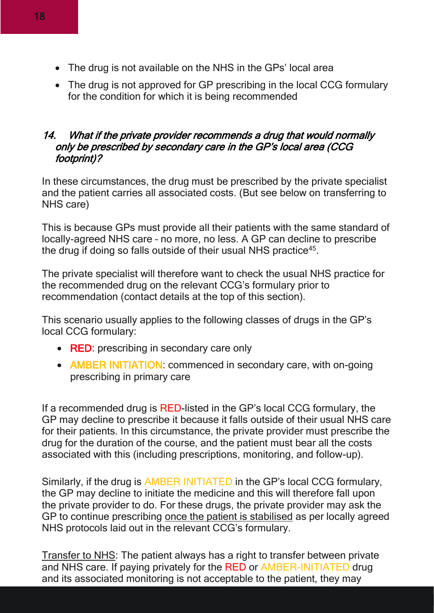- The drug is not available on the NHS in the GPs' local area
- The drug is not approved for GP prescribing in the local CCG formulary for the condition for which it is being recommended

#### 14. What if the private provider recommends a drug that would normally only be prescribed by secondary care in the GP's local area (CCG footprint)?

In these circumstances, the drug must be prescribed by the private specialist and the patient carries all associated costs. (But see below on transferring to NHS care)

This is because GPs must provide all their patients with the same standard of locally-agreed NHS care – no more, no less. A GP can decline to prescribe the drug if doing so falls outside of their usual NHS practice<sup>45</sup>.

The private specialist will therefore want to check the usual NHS practice for the recommended drug on the relevant CCG's formulary prior to recommendation (contact details at the top of this section).

This scenario usually applies to the following classes of drugs in the GP's local CCG formulary:

- RED: prescribing in secondary care only
- AMBER INITIATION: commenced in secondary care, with on-going prescribing in primary care

If a recommended drug is RED-listed in the GP's local CCG formulary, the GP may decline to prescribe it because it falls outside of their usual NHS care for their patients. In this circumstance, the private provider must prescribe the drug for the duration of the course, and the patient must bear all the costs associated with this (including prescriptions, monitoring, and follow-up).

Similarly, if the drug is AMBER INITIATED in the GP's local CCG formulary, the GP may decline to initiate the medicine and this will therefore fall upon the private provider to do. For these drugs, the private provider may ask the GP to continue prescribing once the patient is stabilised as per locally agreed NHS protocols laid out in the relevant CCG's formulary.

Transfer to NHS: The patient always has a right to transfer between private and NHS care. If paying privately for the RED or AMBER-INITIATED drug and its associated monitoring is not acceptable to the patient, they may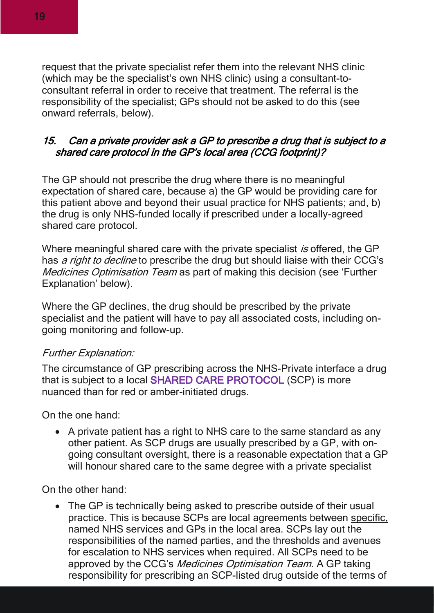request that the private specialist refer them into the relevant NHS clinic (which may be the specialist's own NHS clinic) using a consultant-toconsultant referral in order to receive that treatment. The referral is the responsibility of the specialist; GPs should not be asked to do this (see onward referrals, below).

#### 15. Can a private provider ask a GP to prescribe a drug that is subject to a shared care protocol in the GP's local area (CCG footprint)?

The GP should not prescribe the drug where there is no meaningful expectation of shared care, because a) the GP would be providing care for this patient above and beyond their usual practice for NHS patients; and, b) the drug is only NHS-funded locally if prescribed under a locally-agreed shared care protocol.

Where meaningful shared care with the private specialist is offered, the GP has *a right to decline* to prescribe the drug but should liaise with their CCG's Medicines Optimisation Team as part of making this decision (see 'Further Explanation' below).

Where the GP declines, the drug should be prescribed by the private specialist and the patient will have to pay all associated costs, including ongoing monitoring and follow-up.

#### Further Explanation:

The circumstance of GP prescribing across the NHS-Private interface a drug that is subject to a local SHARED CARE PROTOCOL (SCP) is more nuanced than for red or amber-initiated drugs.

On the one hand:

• A private patient has a right to NHS care to the same standard as any other patient. As SCP drugs are usually prescribed by a GP, with ongoing consultant oversight, there is a reasonable expectation that a GP will honour shared care to the same degree with a private specialist

On the other hand:

• The GP is technically being asked to prescribe outside of their usual practice. This is because SCPs are local agreements between specific, named NHS services and GPs in the local area. SCPs lay out the responsibilities of the named parties, and the thresholds and avenues for escalation to NHS services when required. All SCPs need to be approved by the CCG's Medicines Optimisation Team. A GP taking responsibility for prescribing an SCP-listed drug outside of the terms of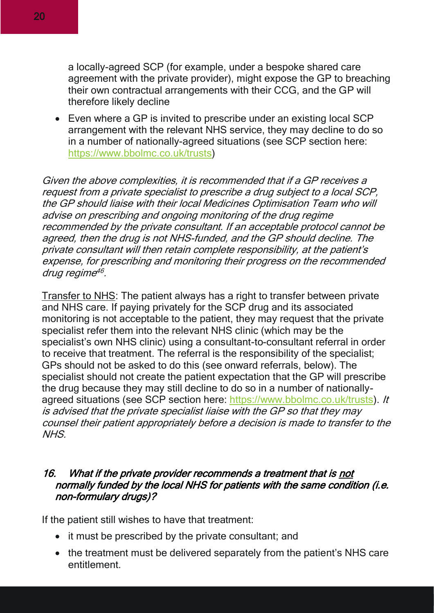a locally-agreed SCP (for example, under a bespoke shared care agreement with the private provider), might expose the GP to breaching their own contractual arrangements with their CCG, and the GP will therefore likely decline

• Even where a GP is invited to prescribe under an existing local SCP arrangement with the relevant NHS service, they may decline to do so in a number of nationally-agreed situations (see SCP section here: [https://www.bbolmc.co.uk/trusts\)](https://www.bbolmc.co.uk/trusts)

Given the above complexities, it is recommended that if a GP receives a request from a private specialist to prescribe a drug subject to a local SCP, the GP should liaise with their local Medicines Optimisation Team who will advise on prescribing and ongoing monitoring of the drug regime recommended by the private consultant. If an acceptable protocol cannot be agreed, then the drug is not NHS-funded, and the GP should decline. The private consultant will then retain complete responsibility, at the patient's expense, for prescribing and monitoring their progress on the recommended drug regime 46 .

Transfer to NHS: The patient always has a right to transfer between private and NHS care. If paying privately for the SCP drug and its associated monitoring is not acceptable to the patient, they may request that the private specialist refer them into the relevant NHS clinic (which may be the specialist's own NHS clinic) using a consultant-to-consultant referral in order to receive that treatment. The referral is the responsibility of the specialist; GPs should not be asked to do this (see onward referrals, below). The specialist should not create the patient expectation that the GP will prescribe the drug because they may still decline to do so in a number of nationallyagreed situations (see SCP section here: [https://www.bbolmc.co.uk/trusts\)](https://www.bbolmc.co.uk/trusts). It is advised that the private specialist liaise with the GP so that they may counsel their patient appropriately before a decision is made to transfer to the NHS.

#### 16. What if the private provider recommends a treatment that is not normally funded by the local NHS for patients with the same condition (i.e. non-formulary drugs)?

If the patient still wishes to have that treatment:

- it must be prescribed by the private consultant; and
- the treatment must be delivered separately from the patient's NHS care entitlement.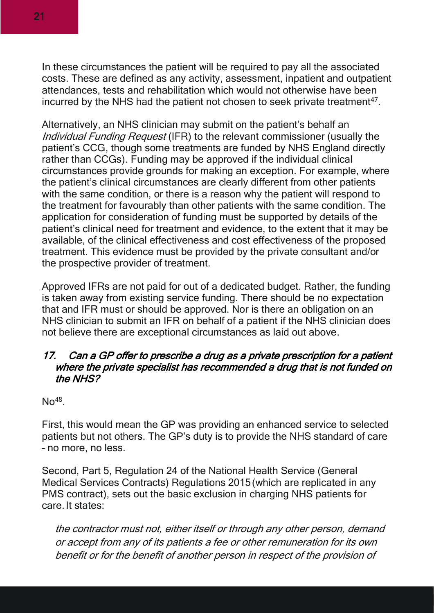In these circumstances the patient will be required to pay all the associated costs. These are defined as any activity, assessment, inpatient and outpatient attendances, tests and rehabilitation which would not otherwise have been incurred by the NHS had the patient not chosen to seek private treatment<sup>47</sup>.

Alternatively, an NHS clinician may submit on the patient's behalf an Individual Funding Request (IFR) to the relevant commissioner (usually the patient's CCG, though some treatments are funded by NHS England directly rather than CCGs). Funding may be approved if the individual clinical circumstances provide grounds for making an exception. For example, where the patient's clinical circumstances are clearly different from other patients with the same condition, or there is a reason why the patient will respond to the treatment for favourably than other patients with the same condition. The application for consideration of funding must be supported by details of the patient's clinical need for treatment and evidence, to the extent that it may be available, of the clinical effectiveness and cost effectiveness of the proposed treatment. This evidence must be provided by the private consultant and/or the prospective provider of treatment.

Approved IFRs are not paid for out of a dedicated budget. Rather, the funding is taken away from existing service funding. There should be no expectation that and IFR must or should be approved. Nor is there an obligation on an NHS clinician to submit an IFR on behalf of a patient if the NHS clinician does not believe there are exceptional circumstances as laid out above.

#### 17. Can a GP offer to prescribe a drug as a private prescription for a patient where the private specialist has recommended a drug that is not funded on the NHS?

 $No^{48}$ .

First, this would mean the GP was providing an enhanced service to selected patients but not others. The GP's duty is to provide the NHS standard of care – no more, no less.

Second, Part 5, Regulation 24 of the National Health Service (General Medical Services Contracts) Regulations 2015 (which are replicated in any PMS contract), sets out the basic exclusion in charging NHS patients for care. It states:

the contractor must not, either itself or through any other person, demand or accept from any of its patients a fee or other remuneration for its own benefit or for the benefit of another person in respect of the provision of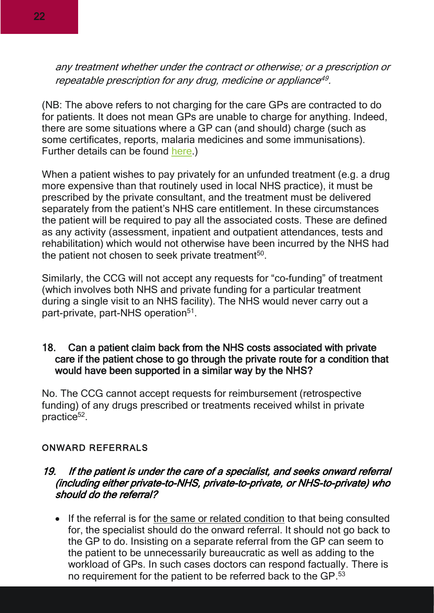any treatment whether under the contract or otherwise; or a prescription or repeatable prescription for any drug, medicine or appliance 49 .

(NB: The above refers to not charging for the care GPs are contracted to do for patients. It does not mean GPs are unable to charge for anything. Indeed, there are some situations where a GP can (and should) charge (such as some certificates, reports, malaria medicines and some immunisations). Further details can be found [here.](https://www.bma.org.uk/pay-and-contracts/fees))

When a patient wishes to pay privately for an unfunded treatment (e.g. a drug more expensive than that routinely used in local NHS practice), it must be prescribed by the private consultant, and the treatment must be delivered separately from the patient's NHS care entitlement. In these circumstances the patient will be required to pay all the associated costs. These are defined as any activity (assessment, inpatient and outpatient attendances, tests and rehabilitation) which would not otherwise have been incurred by the NHS had the patient not chosen to seek private treatment $50$ .

Similarly, the CCG will not accept any requests for "co-funding" of treatment (which involves both NHS and private funding for a particular treatment during a single visit to an NHS facility). The NHS would never carry out a part-private, part-NHS operation<sup>51</sup>.

#### 18. Can a patient claim back from the NHS costs associated with private care if the patient chose to go through the private route for a condition that would have been supported in a similar way by the NHS?

No. The CCG cannot accept requests for reimbursement (retrospective funding) of any drugs prescribed or treatments received whilst in private practice<sup>52</sup>.

#### <span id="page-21-0"></span>ONWARD REFERRALS

#### 19. If the patient is under the care of a specialist, and seeks onward referral (including either private-to-NHS, private-to-private, or NHS-to-private) who should do the referral?

• If the referral is for the same or related condition to that being consulted for, the specialist should do the onward referral. It should not go back to the GP to do. Insisting on a separate referral from the GP can seem to the patient to be unnecessarily bureaucratic as well as adding to the workload of GPs. In such cases doctors can respond factually. There is no requirement for the patient to be referred back to the GP.<sup>53</sup>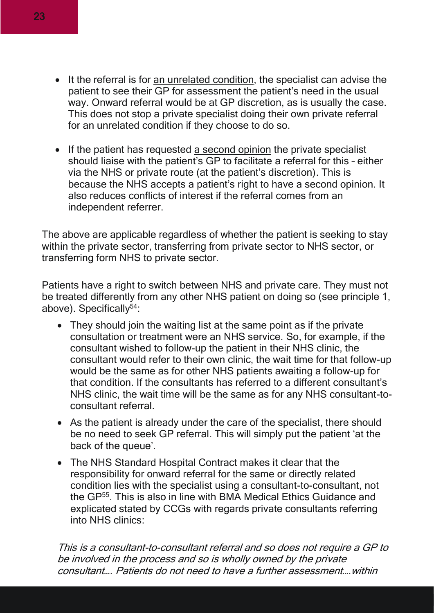- It the referral is for an unrelated condition, the specialist can advise the patient to see their GP for assessment the patient's need in the usual way. Onward referral would be at GP discretion, as is usually the case. This does not stop a private specialist doing their own private referral for an unrelated condition if they choose to do so.
- If the patient has requested a second opinion the private specialist should liaise with the patient's GP to facilitate a referral for this – either via the NHS or private route (at the patient's discretion). This is because the NHS accepts a patient's right to have a second opinion. It also reduces conflicts of interest if the referral comes from an independent referrer.

The above are applicable regardless of whether the patient is seeking to stay within the private sector, transferring from private sector to NHS sector, or transferring form NHS to private sector.

Patients have a right to switch between NHS and private care. They must not be treated differently from any other NHS patient on doing so (see principle 1, above). Specifically<sup>54</sup>:

- They should join the waiting list at the same point as if the private consultation or treatment were an NHS service. So, for example, if the consultant wished to follow-up the patient in their NHS clinic, the consultant would refer to their own clinic, the wait time for that follow-up would be the same as for other NHS patients awaiting a follow-up for that condition. If the consultants has referred to a different consultant's NHS clinic, the wait time will be the same as for any NHS consultant-toconsultant referral.
- As the patient is already under the care of the specialist, there should be no need to seek GP referral. This will simply put the patient 'at the back of the queue'.
- The NHS Standard Hospital Contract makes it clear that the responsibility for onward referral for the same or directly related condition lies with the specialist using a consultant-to-consultant, not the GP<sup>55</sup>. This is also in line with BMA Medical Ethics Guidance and explicated stated by CCGs with regards private consultants referring into NHS clinics:

This is a consultant-to-consultant referral and so does not require a GP to be involved in the process and so is wholly owned by the private consultant…. Patients do not need to have a further assessment….within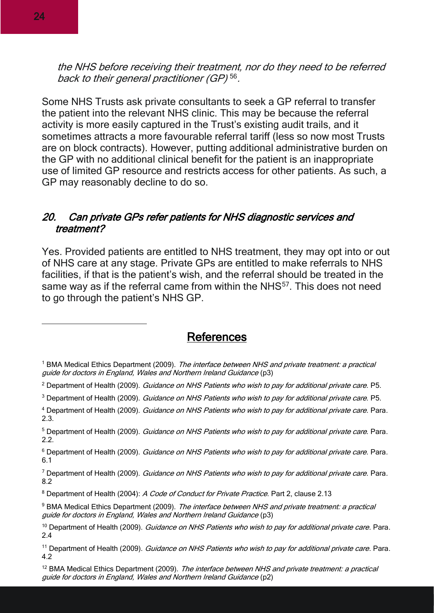the NHS before receiving their treatment, nor do they need to be referred back to their general practitioner (GP)<sup>56</sup>.

Some NHS Trusts ask private consultants to seek a GP referral to transfer the patient into the relevant NHS clinic. This may be because the referral activity is more easily captured in the Trust's existing audit trails, and it sometimes attracts a more favourable referral tariff (less so now most Trusts are on block contracts). However, putting additional administrative burden on the GP with no additional clinical benefit for the patient is an inappropriate use of limited GP resource and restricts access for other patients. As such, a GP may reasonably decline to do so.

#### 20. Can private GPs refer patients for NHS diagnostic services and treatment?

Yes. Provided patients are entitled to NHS treatment, they may opt into or out of NHS care at any stage. Private GPs are entitled to make referrals to NHS facilities, if that is the patient's wish, and the referral should be treated in the same way as if the referral came from within the NHS<sup>57</sup>. This does not need to go through the patient's NHS GP.

#### References

<sup>&</sup>lt;sup>1</sup> BMA Medical Ethics Department (2009). The interface between NHS and private treatment: a practical guide for doctors in England, Wales and Northern Ireland Guidance (p3)

<sup>&</sup>lt;sup>2</sup> Department of Health (2009). Guidance on NHS Patients who wish to pay for additional private care. P5.

<sup>&</sup>lt;sup>3</sup> Department of Health (2009). Guidance on NHS Patients who wish to pay for additional private care. P5.

<sup>4</sup> Department of Health (2009). Guidance on NHS Patients who wish to pay for additional private care. Para. 2.3.

<sup>&</sup>lt;sup>5</sup> Department of Health (2009). *Guidance on NHS Patients who wish to pay for additional private care*. Para. 2.2.

<sup>&</sup>lt;sup>6</sup> Department of Health (2009). Guidance on NHS Patients who wish to pay for additional private care. Para. 6.1

<sup>&</sup>lt;sup>7</sup> Department of Health (2009). Guidance on NHS Patients who wish to pay for additional private care. Para. 8.2

<sup>&</sup>lt;sup>8</sup> Department of Health (2004): A Code of Conduct for Private Practice. Part 2, clause 2.13

<sup>&</sup>lt;sup>9</sup> BMA Medical Ethics Department (2009). The interface between NHS and private treatment: a practical guide for doctors in England, Wales and Northern Ireland Guidance (p3)

<sup>&</sup>lt;sup>10</sup> Department of Health (2009). Guidance on NHS Patients who wish to pay for additional private care. Para. 2.4

<sup>&</sup>lt;sup>11</sup> Department of Health (2009). *Guidance on NHS Patients who wish to pay for additional private care*. Para. 4.2

<sup>&</sup>lt;sup>12</sup> BMA Medical Ethics Department (2009). The interface between NHS and private treatment: a practical guide for doctors in England, Wales and Northern Ireland Guidance (p2)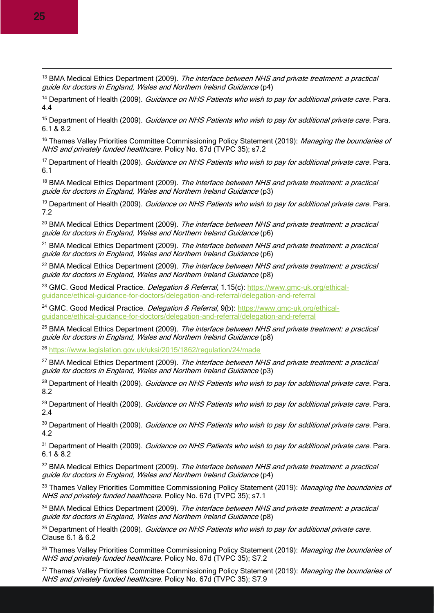<sup>13</sup> BMA Medical Ethics Department (2009). The interface between NHS and private treatment: a practical guide for doctors in England, Wales and Northern Ireland Guidance (p4)

<sup>14</sup> Department of Health (2009). Guidance on NHS Patients who wish to pay for additional private care. Para. 4.4

<sup>15</sup> Department of Health (2009). Guidance on NHS Patients who wish to pay for additional private care. Para. 6.1 & 8.2

<sup>16</sup> Thames Valley Priorities Committee Commissioning Policy Statement (2019): Managing the boundaries of NHS and privately funded healthcare. Policy No. 67d (TVPC 35); s7.2

<sup>17</sup> Department of Health (2009). *Guidance on NHS Patients who wish to pay for additional private care*. Para. 6.1

<sup>18</sup> BMA Medical Ethics Department (2009). The interface between NHS and private treatment: a practical guide for doctors in England, Wales and Northern Ireland Guidance (p3)

<sup>19</sup> Department of Health (2009). *Guidance on NHS Patients who wish to pay for additional private care*. Para. 7.2

<sup>20</sup> BMA Medical Ethics Department (2009). The interface between NHS and private treatment: a practical guide for doctors in England, Wales and Northern Ireland Guidance (p6)

<sup>21</sup> BMA Medical Ethics Department (2009). The interface between NHS and private treatment: a practical guide for doctors in England, Wales and Northern Ireland Guidance (p6)

<sup>22</sup> BMA Medical Ethics Department (2009). The interface between NHS and private treatment: a practical guide for doctors in England, Wales and Northern Ireland Guidance (p8)

<sup>23</sup> GMC. Good Medical Practice. *Delegation & Referral*, 1.15(c): [https://www.gmc-uk.org/ethical](https://www.gmc-uk.org/ethical-guidance/ethical-guidance-for-doctors/delegation-and-referral/delegation-and-referral)[guidance/ethical-guidance-for-doctors/delegation-and-referral/delegation-and-referral](https://www.gmc-uk.org/ethical-guidance/ethical-guidance-for-doctors/delegation-and-referral/delegation-and-referral)

<sup>24</sup> GMC. Good Medical Practice. *Delegation & Referral*, 9(b): [https://www.gmc-uk.org/ethical](https://www.gmc-uk.org/ethical-guidance/ethical-guidance-for-doctors/delegation-and-referral/delegation-and-referral)[guidance/ethical-guidance-for-doctors/delegation-and-referral/delegation-and-referral](https://www.gmc-uk.org/ethical-guidance/ethical-guidance-for-doctors/delegation-and-referral/delegation-and-referral)

<sup>25</sup> BMA Medical Ethics Department (2009). *The interface between NHS and private treatment: a practical* guide for doctors in England, Wales and Northern Ireland Guidance (p8)

<sup>26</sup> <https://www.legislation.gov.uk/uksi/2015/1862/regulation/24/made>

<sup>27</sup> BMA Medical Ethics Department (2009). The interface between NHS and private treatment: a practical guide for doctors in England, Wales and Northern Ireland Guidance (p3)

<sup>28</sup> Department of Health (2009). Guidance on NHS Patients who wish to pay for additional private care. Para. 8.2

<sup>29</sup> Department of Health (2009). Guidance on NHS Patients who wish to pay for additional private care. Para. 2.4

<sup>30</sup> Department of Health (2009). Guidance on NHS Patients who wish to pay for additional private care. Para. 4.2

<sup>31</sup> Department of Health (2009). *Guidance on NHS Patients who wish to pay for additional private care*. Para. 6.1 & 8.2

<sup>32</sup> BMA Medical Ethics Department (2009). The interface between NHS and private treatment: a practical guide for doctors in England, Wales and Northern Ireland Guidance (p4)

33 Thames Valley Priorities Committee Commissioning Policy Statement (2019): Managing the boundaries of NHS and privately funded healthcare. Policy No. 67d (TVPC 35); s7.1

<sup>34</sup> BMA Medical Ethics Department (2009). The interface between NHS and private treatment: a practical guide for doctors in England, Wales and Northern Ireland Guidance (p8)

<sup>35</sup> Department of Health (2009). *Guidance on NHS Patients who wish to pay for additional private care.* Clause 6.1 & 6.2

36 Thames Valley Priorities Committee Commissioning Policy Statement (2019): Managing the boundaries of NHS and privately funded healthcare. Policy No. 67d (TVPC 35); S7.2

<sup>37</sup> Thames Valley Priorities Committee Commissioning Policy Statement (2019): Managing the boundaries of NHS and privately funded healthcare. Policy No. 67d (TVPC 35); S7.9